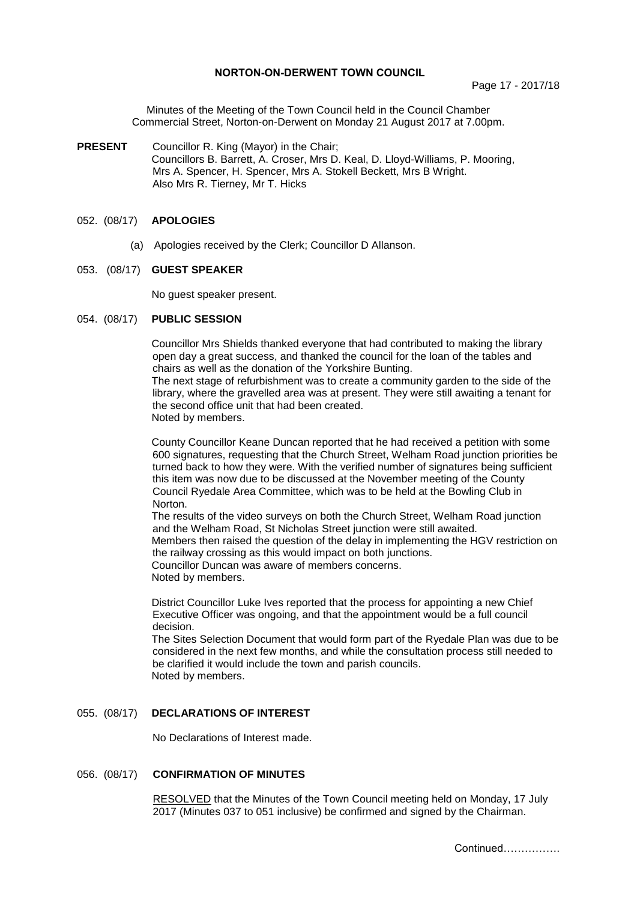### **NORTON-ON-DERWENT TOWN COUNCIL**

Minutes of the Meeting of the Town Council held in the Council Chamber Commercial Street, Norton-on-Derwent on Monday 21 August 2017 at 7.00pm.

**PRESENT** Councillor R. King (Mayor) in the Chair; Councillors B. Barrett, A. Croser, Mrs D. Keal, D. Lloyd-Williams, P. Mooring, Mrs A. Spencer, H. Spencer, Mrs A. Stokell Beckett, Mrs B Wright. Also Mrs R. Tierney, Mr T. Hicks

### 052. (08/17) **APOLOGIES**

(a) Apologies received by the Clerk; Councillor D Allanson.

#### 053. (08/17) **GUEST SPEAKER**

No guest speaker present.

#### 054. (08/17) **PUBLIC SESSION**

Councillor Mrs Shields thanked everyone that had contributed to making the library open day a great success, and thanked the council for the loan of the tables and chairs as well as the donation of the Yorkshire Bunting. The next stage of refurbishment was to create a community garden to the side of the

library, where the gravelled area was at present. They were still awaiting a tenant for the second office unit that had been created. Noted by members.

County Councillor Keane Duncan reported that he had received a petition with some 600 signatures, requesting that the Church Street, Welham Road junction priorities be turned back to how they were. With the verified number of signatures being sufficient this item was now due to be discussed at the November meeting of the County Council Ryedale Area Committee, which was to be held at the Bowling Club in Norton.

The results of the video surveys on both the Church Street, Welham Road junction and the Welham Road, St Nicholas Street junction were still awaited. Members then raised the question of the delay in implementing the HGV restriction on the railway crossing as this would impact on both junctions.

Councillor Duncan was aware of members concerns. Noted by members.

District Councillor Luke Ives reported that the process for appointing a new Chief Executive Officer was ongoing, and that the appointment would be a full council decision.

The Sites Selection Document that would form part of the Ryedale Plan was due to be considered in the next few months, and while the consultation process still needed to be clarified it would include the town and parish councils. Noted by members.

## 055. (08/17) **DECLARATIONS OF INTEREST**

No Declarations of Interest made.

### 056. (08/17) **CONFIRMATION OF MINUTES**

 RESOLVED that the Minutes of the Town Council meeting held on Monday, 17 July 2017 (Minutes 037 to 051 inclusive) be confirmed and signed by the Chairman.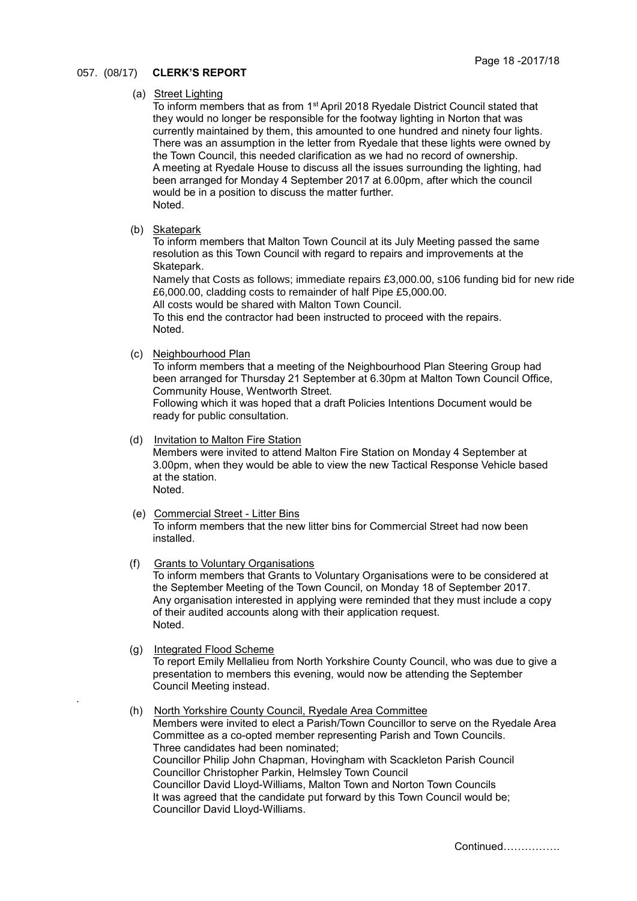## 057. (08/17) **CLERK'S REPORT**

#### (a) Street Lighting

To inform members that as from 1st April 2018 Ryedale District Council stated that they would no longer be responsible for the footway lighting in Norton that was currently maintained by them, this amounted to one hundred and ninety four lights. There was an assumption in the letter from Ryedale that these lights were owned by the Town Council, this needed clarification as we had no record of ownership. A meeting at Ryedale House to discuss all the issues surrounding the lighting, had been arranged for Monday 4 September 2017 at 6.00pm, after which the council would be in a position to discuss the matter further. Noted.

(b) Skatepark

To inform members that Malton Town Council at its July Meeting passed the same resolution as this Town Council with regard to repairs and improvements at the Skatepark.

Namely that Costs as follows; immediate repairs £3,000.00, s106 funding bid for new ride £6,000.00, cladding costs to remainder of half Pipe £5,000.00.

All costs would be shared with Malton Town Council.

To this end the contractor had been instructed to proceed with the repairs. Noted.

(c) Neighbourhood Plan

To inform members that a meeting of the Neighbourhood Plan Steering Group had been arranged for Thursday 21 September at 6.30pm at Malton Town Council Office, Community House, Wentworth Street.

Following which it was hoped that a draft Policies Intentions Document would be ready for public consultation.

### (d) Invitation to Malton Fire Station

Members were invited to attend Malton Fire Station on Monday 4 September at 3.00pm, when they would be able to view the new Tactical Response Vehicle based at the station. Noted.

- (e) Commercial Street Litter Bins To inform members that the new litter bins for Commercial Street had now been installed.
- (f) Grants to Voluntary Organisations To inform members that Grants to Voluntary Organisations were to be considered at the September Meeting of the Town Council, on Monday 18 of September 2017. Any organisation interested in applying were reminded that they must include a copy of their audited accounts along with their application request.

Noted.

.

(g) Integrated Flood Scheme

To report Emily Mellalieu from North Yorkshire County Council, who was due to give a presentation to members this evening, would now be attending the September Council Meeting instead.

 (h) North Yorkshire County Council, Ryedale Area Committee Members were invited to elect a Parish/Town Councillor to serve on the Ryedale Area Committee as a co-opted member representing Parish and Town Councils. Three candidates had been nominated; Councillor Philip John Chapman, Hovingham with Scackleton Parish Council Councillor Christopher Parkin, Helmsley Town Council Councillor David Lloyd-Williams, Malton Town and Norton Town Councils It was agreed that the candidate put forward by this Town Council would be; Councillor David Lloyd-Williams.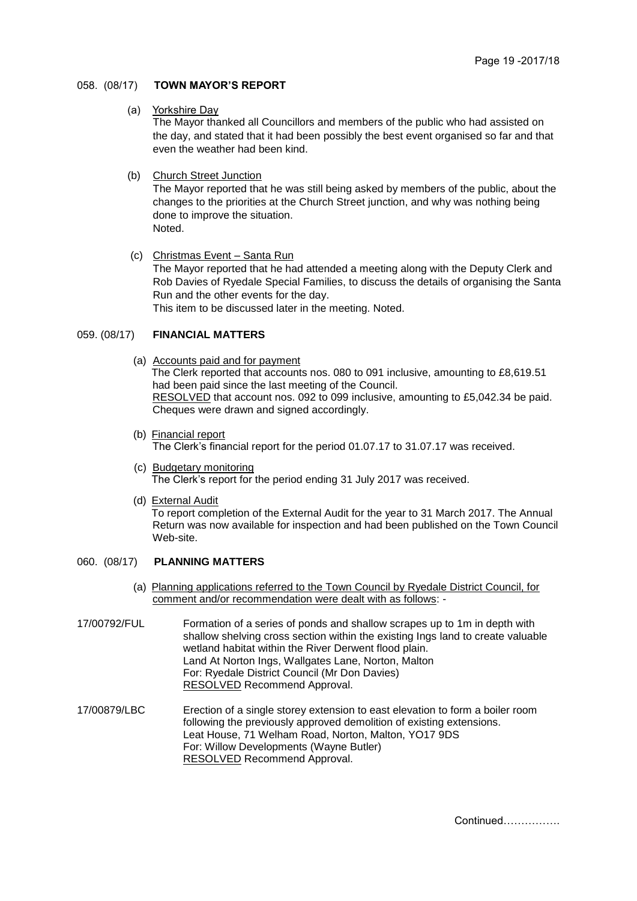### 058. (08/17) **TOWN MAYOR'S REPORT**

(a) Yorkshire Day

The Mayor thanked all Councillors and members of the public who had assisted on the day, and stated that it had been possibly the best event organised so far and that even the weather had been kind.

(b) Church Street Junction

The Mayor reported that he was still being asked by members of the public, about the changes to the priorities at the Church Street junction, and why was nothing being done to improve the situation. Noted.

- 
- (c) Christmas Event Santa Run

The Mayor reported that he had attended a meeting along with the Deputy Clerk and Rob Davies of Ryedale Special Families, to discuss the details of organising the Santa Run and the other events for the day.

This item to be discussed later in the meeting. Noted.

## 059. (08/17) **FINANCIAL MATTERS**

- (a) Accounts paid and for payment The Clerk reported that accounts nos. 080 to 091 inclusive, amounting to £8,619.51 had been paid since the last meeting of the Council. RESOLVED that account nos. 092 to 099 inclusive, amounting to £5,042.34 be paid. Cheques were drawn and signed accordingly.
- (b) Financial report The Clerk's financial report for the period 01.07.17 to 31.07.17 was received.
- (c) Budgetary monitoring The Clerk's report for the period ending 31 July 2017 was received.
- (d) External Audit To report completion of the External Audit for the year to 31 March 2017. The Annual Return was now available for inspection and had been published on the Town Council Web-site.

### 060. (08/17) **PLANNING MATTERS**

- (a) Planning applications referred to the Town Council by Ryedale District Council, for comment and/or recommendation were dealt with as follows: -
- 17/00792/FUL Formation of a series of ponds and shallow scrapes up to 1m in depth with shallow shelving cross section within the existing Ings land to create valuable wetland habitat within the River Derwent flood plain. Land At Norton Ings, Wallgates Lane, Norton, Malton For: Ryedale District Council (Mr Don Davies) RESOLVED Recommend Approval.
- 17/00879/LBC Erection of a single storey extension to east elevation to form a boiler room following the previously approved demolition of existing extensions. Leat House, 71 Welham Road, Norton, Malton, YO17 9DS For: Willow Developments (Wayne Butler) RESOLVED Recommend Approval.

Continued…………….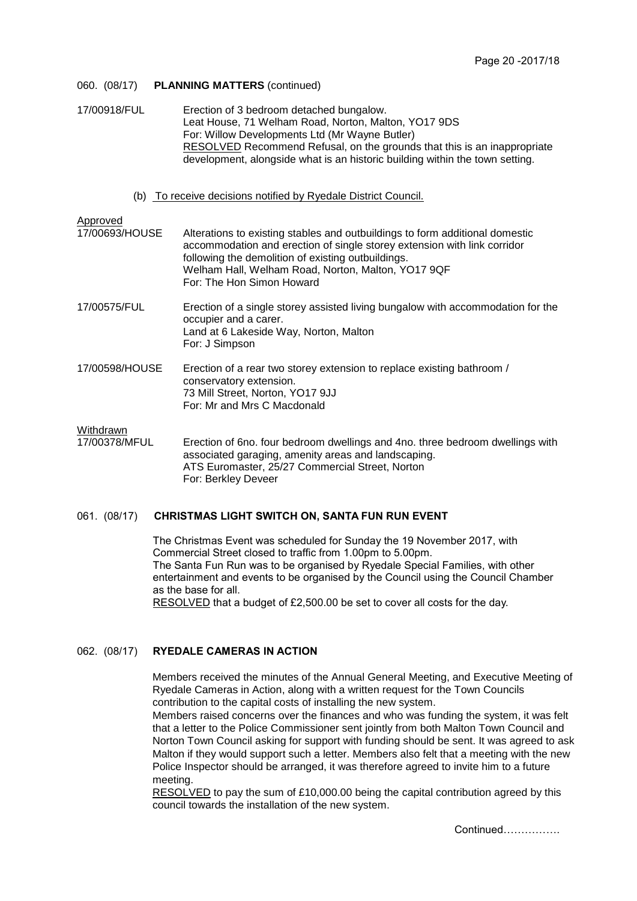| 060. (08/17)               | <b>PLANNING MATTERS (continued)</b>                                                                                                                                                                                                                                                                                   |
|----------------------------|-----------------------------------------------------------------------------------------------------------------------------------------------------------------------------------------------------------------------------------------------------------------------------------------------------------------------|
| 17/00918/FUL               | Erection of 3 bedroom detached bungalow.<br>Leat House, 71 Welham Road, Norton, Malton, YO17 9DS<br>For: Willow Developments Ltd (Mr Wayne Butler)<br><b>RESOLVED</b> Recommend Refusal, on the grounds that this is an inappropriate<br>development, alongside what is an historic building within the town setting. |
|                            | (b) To receive decisions notified by Ryedale District Council.                                                                                                                                                                                                                                                        |
| Approved<br>17/00693/HOUSE | Alterations to existing stables and outbuildings to form additional domestic<br>accommodation and erection of single storey extension with link corridor<br>following the demolition of existing outbuildings.<br>Welham Hall, Welham Road, Norton, Malton, YO17 9QF<br>For: The Hon Simon Howard                     |
| 17/00575/FUL               | Erection of a single storey assisted living bungalow with accommodation for the<br>occupier and a carer.<br>Land at 6 Lakeside Way, Norton, Malton<br>For: J Simpson                                                                                                                                                  |
| 17/00598/HOUSE             | Erection of a rear two storey extension to replace existing bathroom /<br>conservatory extension.<br>73 Mill Street, Norton, YO17 9JJ<br>For: Mr and Mrs C Macdonald                                                                                                                                                  |
| Withdrawn<br>17/00378/MFUL | Erection of 6no. four bedroom dwellings and 4no. three bedroom dwellings with<br>associated garaging, amenity areas and landscaping.                                                                                                                                                                                  |

associated garaging, amenity areas and landscaping. ATS Euromaster, 25/27 Commercial Street, Norton For: Berkley Deveer

# 061. (08/17) **CHRISTMAS LIGHT SWITCH ON, SANTA FUN RUN EVENT**

The Christmas Event was scheduled for Sunday the 19 November 2017, with Commercial Street closed to traffic from 1.00pm to 5.00pm. The Santa Fun Run was to be organised by Ryedale Special Families, with other entertainment and events to be organised by the Council using the Council Chamber as the base for all. RESOLVED that a budget of £2,500.00 be set to cover all costs for the day.

# 062. (08/17) **RYEDALE CAMERAS IN ACTION**

Members received the minutes of the Annual General Meeting, and Executive Meeting of Ryedale Cameras in Action, along with a written request for the Town Councils contribution to the capital costs of installing the new system.

Members raised concerns over the finances and who was funding the system, it was felt that a letter to the Police Commissioner sent jointly from both Malton Town Council and Norton Town Council asking for support with funding should be sent. It was agreed to ask Malton if they would support such a letter. Members also felt that a meeting with the new Police Inspector should be arranged, it was therefore agreed to invite him to a future meeting.

RESOLVED to pay the sum of £10,000.00 being the capital contribution agreed by this council towards the installation of the new system.

Continued…………….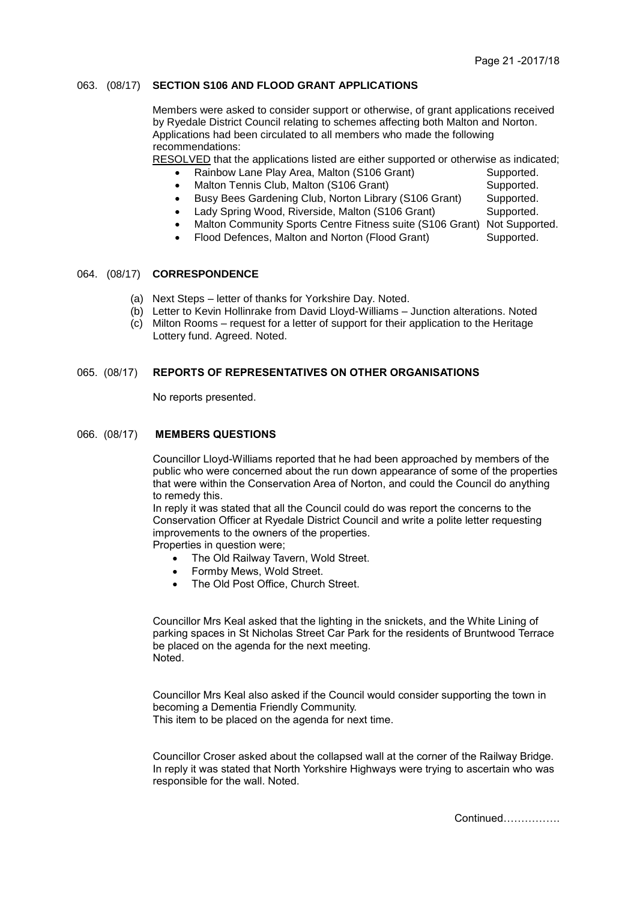### 063. (08/17) **SECTION S106 AND FLOOD GRANT APPLICATIONS**

Members were asked to consider support or otherwise, of grant applications received by Ryedale District Council relating to schemes affecting both Malton and Norton. Applications had been circulated to all members who made the following recommendations:

RESOLVED that the applications listed are either supported or otherwise as indicated;

- Rainbow Lane Play Area, Malton (S106 Grant) Supported.
- Malton Tennis Club, Malton (S106 Grant) Supported.
- Busy Bees Gardening Club, Norton Library (S106 Grant) Supported.
	- Lady Spring Wood, Riverside, Malton (S106 Grant) Supported.
- Malton Community Sports Centre Fitness suite (S106 Grant) Not Supported.
- Flood Defences, Malton and Norton (Flood Grant) Supported.

# 064. (08/17) **CORRESPONDENCE**

- (a) Next Steps letter of thanks for Yorkshire Day. Noted.
- (b) Letter to Kevin Hollinrake from David Lloyd-Williams Junction alterations. Noted
- (c) Milton Rooms request for a letter of support for their application to the Heritage Lottery fund. Agreed. Noted.

### 065. (08/17) **REPORTS OF REPRESENTATIVES ON OTHER ORGANISATIONS**

No reports presented.

### 066. (08/17) **MEMBERS QUESTIONS**

Councillor Lloyd-Williams reported that he had been approached by members of the public who were concerned about the run down appearance of some of the properties that were within the Conservation Area of Norton, and could the Council do anything to remedy this.

In reply it was stated that all the Council could do was report the concerns to the Conservation Officer at Ryedale District Council and write a polite letter requesting improvements to the owners of the properties.

Properties in question were;

- The Old Railway Tavern, Wold Street.
- Formby Mews, Wold Street.
- The Old Post Office, Church Street.

Councillor Mrs Keal asked that the lighting in the snickets, and the White Lining of parking spaces in St Nicholas Street Car Park for the residents of Bruntwood Terrace be placed on the agenda for the next meeting. Noted.

Councillor Mrs Keal also asked if the Council would consider supporting the town in becoming a Dementia Friendly Community. This item to be placed on the agenda for next time.

Councillor Croser asked about the collapsed wall at the corner of the Railway Bridge. In reply it was stated that North Yorkshire Highways were trying to ascertain who was responsible for the wall. Noted.

Continued…………….

- 
-